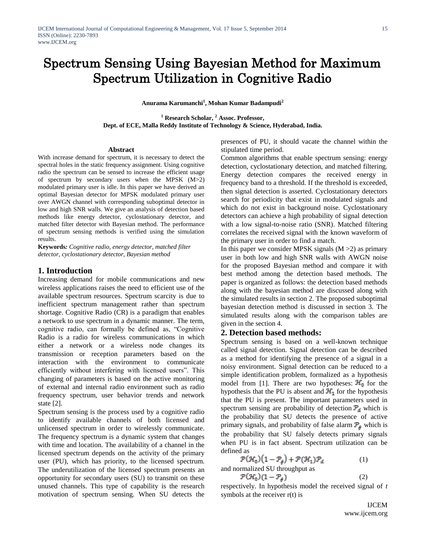# Spectrum Sensing Using Bayesian Method for Maximum Spectrum Utilization in Cognitive Radio

**Anurama Karumanchi<sup>1</sup> , Mohan Kumar Badampudi<sup>2</sup>**

**<sup>1</sup> Research Scholar, <sup>2</sup> Assoc. Professor, Dept. of ECE, Malla Reddy Institute of Technology & Science, Hyderabad, India.**

#### **Abstract**

With increase demand for spectrum, it is necessary to detect the spectral holes in the static frequency assignment. Using cognitive radio the spectrum can be sensed to increase the efficient usage of spectrum by secondary users when the MPSK (M>2) modulated primary user is idle. In this paper we have derived an optimal Bayesian detector for MPSK modulated primary user over AWGN channel with corresponding suboptimal detector in low and high SNR walls. We give an analysis of detection based methods like energy detector, cyclostationary detector, and matched filter detector with Bayesian method. The performance of spectrum sensing methods is verified using the simulation results.

**Keywords***: Cognitive radio, energy detector, matched filter detector, cyclostationary detector, Bayesian method*

## **1. Introduction**

Increasing demand for mobile communications and new wireless applications raises the need to efficient use of the available spectrum resources. Spectrum scarcity is due to inefficient spectrum management rather than spectrum shortage. Cognitive Radio (CR) is a paradigm that enables a network to use spectrum in a dynamic manner. The term, cognitive radio, can formally be defined as, "Cognitive Radio is a radio for wireless communications in which either a network or a wireless node changes its transmission or reception parameters based on the interaction with the environment to communicate efficiently without interfering with licensed users". This changing of parameters is based on the active monitoring of external and internal radio environment such as radio frequency spectrum, user behavior trends and network state [2].

Spectrum sensing is the process used by a cognitive radio to identify available channels of both licensed and unlicensed spectrum in order to wirelessly communicate. The frequency spectrum is a dynamic system that changes with time and location. The availability of a channel in the licensed spectrum depends on the activity of the primary user (PU), which has priority, to the licensed spectrum. The underutilization of the licensed spectrum presents an opportunity for secondary users (SU) to transmit on these unused channels. This type of capability is the research motivation of spectrum sensing. When SU detects the

presences of PU, it should vacate the channel within the stipulated time period.

Common algorithms that enable spectrum sensing: energy detection, cyclostationary detection, and matched filtering. Energy detection compares the received energy in frequency band to a threshold. If the threshold is exceeded, then signal detection is asserted. Cyclostationary detectors search for periodicity that exist in modulated signals and which do not exist in background noise. Cyclostationary detectors can achieve a high probability of signal detection with a low signal-to-noise ratio (SNR). Matched filtering correlates the received signal with the known waveform of the primary user in order to find a match.

In this paper we consider MPSK signals  $(M > 2)$  as primary user in both low and high SNR walls with AWGN noise for the proposed Bayesian method and compare it with best method among the detection based methods. The paper is organized as follows: the detection based methods along with the bayesian method are discussed along with the simulated results in section 2. The proposed suboptimal bayesian detection method is discussed in section 3. The simulated results along with the comparison tables are given in the section 4.

## **2. Detection based methods:**

Spectrum sensing is based on a well-known technique called signal detection. Signal detection can be described as a method for identifying the presence of a signal in a noisy environment. Signal detection can be reduced to a simple identification problem, formalized as a hypothesis model from [1]. There are two hypotheses:  $\mathcal{H}_0$  for the hypothesis that the PU is absent and  $\mathcal{H}_1$  for the hypothesis that the PU is present. The important parameters used in spectrum sensing are probability of detection  $P_d$  which is the probability that SU detects the presence of active primary signals, and probability of false alarm  $\mathcal{P}_{\sharp}$  which is the probability that SU falsely detects primary signals when PU is in fact absent. Spectrum utilization can be defined as

$$
\mathcal{P}(\mathcal{H}_0)(1 - \mathcal{P}_\sharp) + \mathcal{P}(\mathcal{H}_1)\mathcal{P}_d \tag{1}
$$

and normalized SU throughput as

$$
\mathcal{P}(\mathcal{H}_0)(1-\mathcal{P}_f) \tag{2}
$$

respectively. In hypothesis model the received signal of *t* symbols at the receiver r(t) is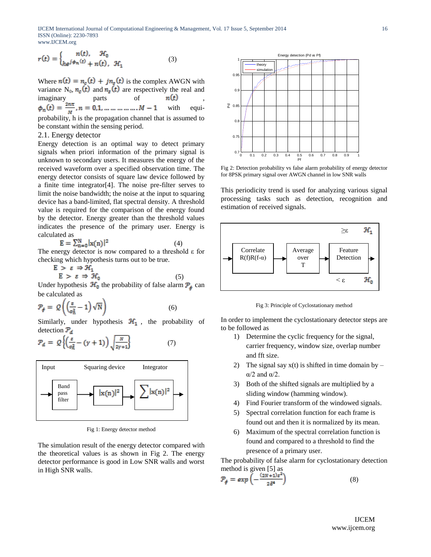IJCEM International Journal of Computational Engineering & Management, Vol. 17 Issue 5, September 2014 ISSN (Online): 2230-7893 www.IJCEM.org

$$
r(t) = \begin{cases} n(t), & \mathcal{H}_0 \\ h e^{j\phi_n(t)} + n(t), & \mathcal{H}_1 \end{cases}
$$
 (3)

Where  $n(t) = n_c(t) + j n_s(t)$  is the complex AWGN with variance  $N_0$ ,  $n_c(t)$  and  $n_s(t)$  are respectively the real and imaginary parts of  $n(t)$ <br>  $\phi_n(t) = \frac{2n\pi}{M}, n = 0, 1, ..., ..., ..., M - 1$  with with equiprobability, h is the propagation channel that is assumed to be constant within the sensing period.

#### 2.1. Energy detector

Energy detection is an optimal way to detect primary signals when priori information of the primary signal is unknown to secondary users. It measures the energy of the received waveform over a specified observation time. The energy detector consists of square law device followed by a finite time integrator[4]. The noise pre-filter serves to limit the noise bandwidth; the noise at the input to squaring device has a band-limited, flat spectral density. A threshold value is required for the comparison of the energy found by the detector. Energy greater than the threshold values indicates the presence of the primary user. Energy is calculated as

$$
\mathbf{E} = \sum_{n=0}^{N} |\mathbf{x}(n)|^2 \tag{4}
$$

The energy detector is now compared to a threshold  $ε$  for checking which hypothesis turns out to be true.

$$
E > \varepsilon \Rightarrow \mathcal{H}_1
$$
  
\n
$$
E > \varepsilon \Rightarrow \mathcal{H}_0
$$
 (5)

Under hypothesis  $\mathcal{H}_0$  the probability of false alarm  $\mathcal{P}_\epsilon$  can be calculated as

$$
\mathcal{P}_{\mathbf{f}} = \mathcal{Q}\left(\left(\frac{\varepsilon}{\sigma_{\mathbf{n}}^2} - 1\right)\sqrt{\mathbf{N}}\right) \tag{6}
$$

Similarly, under hypothesis  $\mathcal{H}_1$ , the probability of detection  $\mathcal{P}_d$ 

$$
\mathcal{P}_d = \mathcal{Q}\left\{ \left( \frac{\varepsilon}{\sigma_n^2} - (\gamma + 1) \right) \sqrt{\frac{N}{2\gamma + 1}} \right\} \tag{7}
$$



Fig 1: Energy detector method

The simulation result of the energy detector compared with the theoretical values is as shown in Fig 2. The energy detector performance is good in Low SNR walls and worst in High SNR walls.



Fig 2: Detection probability vs false alarm probability of energy detector for 8PSK primary signal over AWGN channel in low SNR walls

This periodicity trend is used for analyzing various signal processing tasks such as detection, recognition and estimation of received signals.



Fig 3: Principle of Cyclostationary method

In order to implement the cyclostationary detector steps are to be followed as

- 1) Determine the cyclic frequency for the signal, carrier frequency, window size, overlap number and fft size.
- 2) The signal say  $x(t)$  is shifted in time domain by α/2 and α/2.
- 3) Both of the shifted signals are multiplied by a sliding window (hamming window).
- 4) Find Fourier transform of the windowed signals.
- 5) Spectral correlation function for each frame is found out and then it is normalized by its mean.
- 6) Maximum of the spectral correlation function is found and compared to a threshold to find the presence of a primary user.

The probability of false alarm for cyclostationary detection method is given [5] as

$$
\mathcal{P}_{\mathbf{f}} = \exp\left(-\frac{(2N+1)\varepsilon^2}{2\delta^4}\right) \tag{8}
$$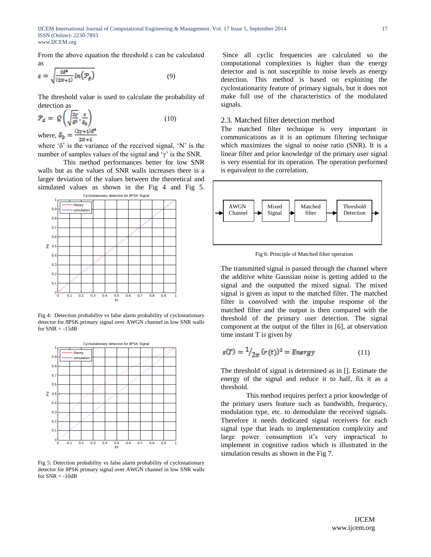From the above equation the threshold  $\varepsilon$  can be calculated as

$$
\varepsilon = \sqrt{\frac{2\delta^4}{(2N+1)}\ln\left(\mathcal{P}_{\oint}\right)}\tag{9}
$$

The threshold value is used to calculate the probability of detection as

$$
\mathcal{P}_d = \mathcal{Q}\left(\sqrt{\frac{2\gamma}{\delta^2}, \frac{\varepsilon}{\delta_b}}\right)
$$
  
where,  $\delta_b = \frac{(2\gamma + 1)\delta^4}{2N + 1}$  (10)

where  $\delta$ ' is the variance of the received signal, 'N' is the number of samples values of the signal and  $\gamma'$  is the SNR.

This method performances better for low SNR walls but as the values of SNR walls increases there is a larger deviation of the values between the theoretical and simulated values as shown in the Fig 4 and Fig 5.



Fig 4: Detection probability vs false alarm probability of cyclostationary detector for 8PSK primary signal over AWGN channel in low SNR walls for  $SNR = -15dB$ 



Fig 5: Detection probability vs false alarm probability of cyclostationary detector for 8PSK primary signal over AWGN channel in low SNR walls for  $SNR = -10dB$ 

Since all cyclic frequencies are calculated so the computational complexities is higher than the energy detector and is not susceptible to noise levels as energy detection. This method is based on exploiting the cyclostationarity feature of primary signals, but it does not make full use of the characteristics of the modulated signals.

#### 2.3. Matched filter detection method

The matched filter technique is very important in communications as it is an optimum filtering technique which maximizes the signal to noise ratio (SNR). It is a linear filter and prior knowledge of the primary user signal is very essential for its operation. The operation performed is equivalent to the correlation.



Fig 6: Principle of Matched filter operation

The transmitted signal is passed through the channel where the additive white Gaussian noise is getting added to the signal and the outputted the mixed signal. The mixed signal is given as input to the matched filter. The matched filter is convolved with the impulse response of the matched filter and the output is then compared with the threshold of the primary user detection. The signal component at the output of the filter in [6], at observation time instant T is given by

$$
s(T) = \frac{1}{2\pi} (r(t))^2 = Energy \tag{11}
$$

The threshold of signal is determined as in []. Estimate the energy of the signal and reduce it to half, fix it as a threshold.

This method requires perfect a prior knowledge of the primary users feature such as bandwidth, frequency, modulation type, etc. to demodulate the received signals. Therefore it needs dedicated signal receivers for each signal type that leads to implementation complexity and large power consumption it's very impractical to implement in cognitive radios which is illustrated in the simulation results as shown in the Fig 7.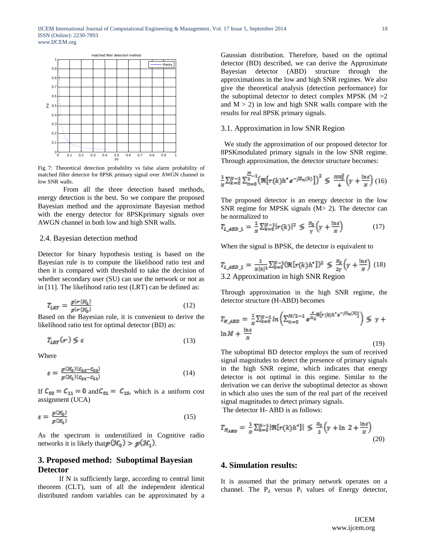

Fig 7: Theoretical detection probability vs false alarm probability of matched filter detector for 8PSK primary signal over AWGN channel in low SNR walls.

From all the three detection based methods, energy detection is the best. So we compare the proposed Bayesian method and the approximate Bayesian method with the energy detector for 8PSKprimary signals over AWGN channel in both low and high SNR walls.

#### 2.4. Bayesian detection method

Detector for binary hypothesis testing is based on the Bayesian rule is to compute the likelihood ratio test and then it is compared with threshold to take the decision of whether secondary user (SU) can use the network or not as in [11]. The likelihood ratio test (LRT) can be defined as:

$$
T_{LRT} = \frac{p(r|\mathcal{H}_1)}{p(r|\mathcal{H}_0)}\tag{12}
$$

Based on the Bayesian rule, it is convenient to derive the likelihood ratio test for optimal detector (BD) as:

$$
T_{LRT}(r) \lessgtr \varepsilon \tag{13}
$$

Where

$$
\varepsilon = \frac{p(\mathcal{H}_0)(c_{10} - c_{00})}{p(\mathcal{H}_1)(c_{01} - c_{11})} \tag{14}
$$

If  $C_{00} = C_{11} = 0$  and  $C_{01} = C_{10}$ , which is a uniform cost assignment (UCA)

$$
\varepsilon = \frac{p(\mathcal{H}_0)}{p(\mathcal{H}_1)}\tag{15}
$$

As the spectrum is underutilized in Cognitive radio networks it is likely that  $p(\mathcal{H}_0) > p(\mathcal{H}_1)$ .

## **3. Proposed method: Suboptimal Bayesian Detector**

 If N is sufficiently large, according to central limit theorem (CLT), sum of all the independent identical distributed random variables can be approximated by a

Gaussian distribution. Therefore, based on the optimal detector (BD) described, we can derive the Approximate Bayesian detector (ABD) structure through the approximations in the low and high SNR regimes. We also give the theoretical analysis (detection performance) for the suboptimal detector to detect complex MPSK ( $M = 2$ and  $M > 2$ ) in low and high SNR walls compare with the results for real 8PSK primary signals.

## 3.1. Approximation in low SNR Region

 We study the approximation of our proposed detector for 8PSKmodulated primary signals in the low SNR regime. Through approximation, the detector structure becomes:

$$
\frac{1}{N} \sum_{k=0}^{N-1} \sum_{n=0}^{M-1} \left( \Re[r(k)h^* e^{-j\emptyset_n(k)}] \right)^2 \leq \frac{MN_0^2}{4} \left( \gamma + \frac{\ln \varepsilon}{N} \right) (16)
$$

The proposed detector is an energy detector in the low SNR regime for MPSK signals (M> 2). The detector can be normalized to

$$
T_{L \, ABD \, \lrcorner 1} = \frac{1}{N} \sum_{k=0}^{N-1} |r(k)|^2 \, \lessgtr \, \frac{N_0}{\gamma} \left( \gamma + \frac{\ln \varepsilon}{N} \right) \tag{17}
$$

When the signal is BPSK, the detector is equivalent to

$$
T_{L\text{ABD}_1} = \frac{1}{N|h|^2} \sum_{k=0}^{N-1} (\Re[r(k)h^*])^2 \leq \frac{N_0}{2\gamma} \left(\gamma + \frac{\ln \varepsilon}{N}\right) (18)
$$
  
3.2 Approximation in high SNR Region

Through approximation in the high SNR regime, the detector structure (H-ABD) becomes

$$
T_{H\_ABD} = \frac{1}{N} \sum_{k=0}^{N-1} \ln \left( \sum_{n=0}^{M/2-1} e^{\frac{2}{N_0} \Re[r(k) \hbar^* e^{-j\phi_n(k)}]} \right) \lessgtr \gamma + \ln M + \frac{\ln \varepsilon}{N}
$$
\n(19)

The suboptimal BD detector employs the sum of received signal magnitudes to detect the presence of primary signals in the high SNR regime, which indicates that energy detector is not optimal in this regime. Similar to the derivation we can derive the suboptimal detector as shown in which also uses the sum of the real part of the received signal magnitudes to detect primary signals.

The detector H- ABD is as follows:

$$
T_{H_{ABD}} = \frac{1}{N} \sum_{k=0}^{N-1} |\Re[r(k)h^*]| \lessgtr \frac{N_0}{2} \left(\gamma + \ln 2 + \frac{\ln \varepsilon}{N}\right)
$$
\n(20)

## **4. Simulation results:**

It is assumed that the primary network operates on a channel. The  $P_d$  versus  $P_f$  values of Energy detector,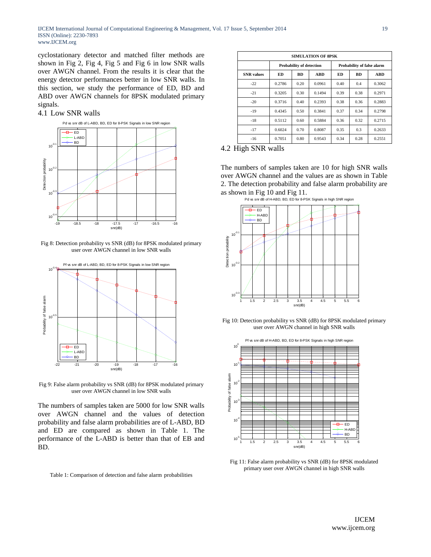cyclostationary detector and matched filter methods are shown in Fig 2, Fig 4, Fig 5 and Fig 6 in low SNR walls over AWGN channel. From the results it is clear that the energy detector performances better in low SNR walls. In this section, we study the performance of ED, BD and ABD over AWGN channels for 8PSK modulated primary signals.

## 4.1 Low SNR walls



Fig 8: Detection probability vs SNR (dB) for 8PSK modulated primary user over AWGN channel in low SNR walls



Fig 9: False alarm probability vs SNR (dB) for 8PSK modulated primary user over AWGN channel in low SNR walls

The numbers of samples taken are 5000 for low SNR walls over AWGN channel and the values of detection probability and false alarm probabilities are of L-ABD, BD and ED are compared as shown in Table 1. The performance of the L-ABD is better than that of EB and BD.

Table 1: Comparison of detection and false alarm probabilities

| <b>SIMULATION OF 8PSK</b> |                                 |           |            |                            |           |            |  |
|---------------------------|---------------------------------|-----------|------------|----------------------------|-----------|------------|--|
|                           | <b>Probability of detection</b> |           |            | Probability of false alarm |           |            |  |
| <b>SNR</b> values         | ED                              | <b>BD</b> | <b>ABD</b> | ED                         | <b>BD</b> | <b>ABD</b> |  |
| $-22$                     | 0.2786                          | 0.20      | 0.0961     | 0.40                       | 0.4       | 0.3062     |  |
| $-21$                     | 0.3205                          | 0.30      | 0.1494     | 0.39                       | 0.38      | 0.2971     |  |
| $-20$                     | 0.3716                          | 0.40      | 0.2393     | 0.38                       | 0.36      | 0.2883     |  |
| $-19$                     | 0.4345                          | 0.50      | 0.3841     | 0.37                       | 0.34      | 0.2798     |  |
| $-18$                     | 0.5112                          | 0.60      | 0.5884     | 0.36                       | 0.32      | 0.2715     |  |
| $-17$                     | 0.6024                          | 0.70      | 0.8087     | 0.35                       | 0.3       | 0.2633     |  |
| $-16$                     | 0.7051                          | 0.80      | 0.9543     | 0.34                       | 0.28      | 0.2551     |  |

## 4.2 High SNR walls

The numbers of samples taken are 10 for high SNR walls over AWGN channel and the values are as shown in Table 2. The detection probability and false alarm probability are as shown in Fig 10 and Fig 11.



Fig 10: Detection probability vs SNR (dB) for 8PSK modulated primary user over AWGN channel in high SNR walls



Fig 11: False alarm probability vs SNR (dB) for 8PSK modulated primary user over AWGN channel in high SNR walls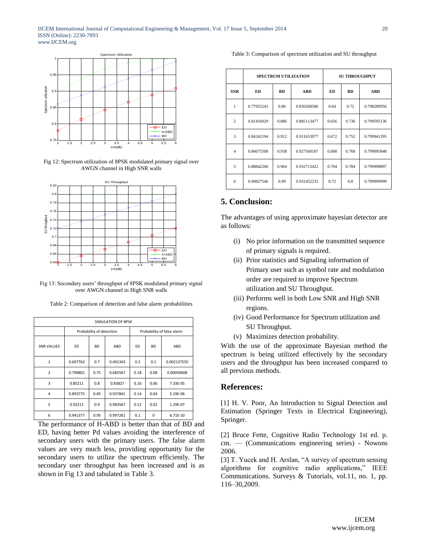

Fig 12: Spectrum utilization of 8PSK modulated primary signal over AWGN channel in High SNR walls



Fig 13: Secondary users' throughput of 8PSK modulated primary signal over AWGN channel in High SNR walls

Table 2: Comparison of detection and false alarm probabilities

| SIMULATION OF 8PSK      |                          |           |          |                            |           |             |  |
|-------------------------|--------------------------|-----------|----------|----------------------------|-----------|-------------|--|
|                         | Probability of detection |           |          | Probability of false alarm |           |             |  |
| <b>SNR VALUES</b>       | ED                       | <b>BD</b> | ABD      | ED                         | <b>BD</b> | ABD         |  |
| 1                       | 0.697762                 | 0.7       | 0.491343 | 0.2                        | 0.1       | 0.002137555 |  |
| $\overline{2}$          | 0.790801                 | 0.75      | 0.685567 | 0.18                       | 0.08      | 0.00050608  |  |
| $\overline{\mathbf{3}}$ | 0.85211                  | 0.8       | 0.83827  | 0.16                       | 0.06      | 7.33E-05    |  |
| $\overline{4}$          | 0.893775                 | 0.85      | 0.937841 | 0.14                       | 0.04      | 5.19E-06    |  |
| 5                       | 0.92211                  | 0.9       | 0.983567 | 0.12                       | 0.02      | 1.29E-07    |  |
| 6                       | 0.941377                 | 0.95      | 0.997261 | 0.1                        | $\Omega$  | 6.71E-10    |  |

The performance of H-ABD is better than that of BD and ED, having better Pd values avoiding the interference of secondary users with the primary users. The false alarm values are very much less, providing opportunity for the secondary users to utilize the spectrum efficiently. The secondary user throughput has been increased and is as shown in Fig 13 and tabulated in Table 3.

Table 3: Comparison of spectrum utilization and SU throughput

|                |            | <b>SPECTRUM UTILIZATION</b> | <b>SU THROUGHPUT</b> |       |           |             |
|----------------|------------|-----------------------------|----------------------|-------|-----------|-------------|
| <b>SNR</b>     | ED         | <b>BD</b>                   | <b>ABD</b>           | ED    | <b>BD</b> | <b>ABD</b>  |
| $\mathbf{1}$   | 0.77955241 | 0.86                        | 0.850268586          | 0.64  | 0.72      | 0.798289956 |
| $\overline{c}$ | 0.81416029 | 0.886                       | 0.885113477          | 0.656 | 0.736     | 0.799595136 |
| 3              | 0.84242194 | 0.912                       | 0.911653977          | 0.672 | 0.752     | 0.799941395 |
| $\overline{4}$ | 0.86675508 | 0.938                       | 0.927568187          | 0.688 | 0.768     | 0.799995848 |
| 5              | 0.88842206 | 0.964                       | 0.932713422          | 0.704 | 0.784     | 0.799999897 |
| 6              | 0.90827546 | 0.99                        | 0.931452232          | 0.72  | 0.8       | 0.799999999 |

# **5. Conclusion:**

The advantages of using approximate bayesian detector are as follows:

- (i) No prior information on the transmitted sequence of primary signals is required.
- (ii) Prior statistics and Signaling information of Primary user such as symbol rate and modulation order are required to improve Spectrum utilization and SU Throughput.
- (iii) Performs well in both Low SNR and High SNR regions.
- (iv) Good Performance for Spectrum utilization and SU Throughput.
- (v) Maximizes detection probability.

With the use of the approximate Bayesian method the spectrum is being utilized effectively by the secondary users and the throughput has been increased compared to all previous methods.

## **References:**

[1] H. V. Poor, An Introduction to Signal Detection and Estimation (Springer Texts in Electrical Engineering), Springer.

[2] Bruce Fette, Cognitive Radio Technology 1st ed. p. cm. — (Communications engineering series) - Nowons 2006.

[3] T. Yucek and H. Arslan, "A survey of spectrum sensing algorithms for cognitive radio applications," IEEE Communications. Surveys & Tutorials, vol.11, no. 1, pp. 116–30,2009.